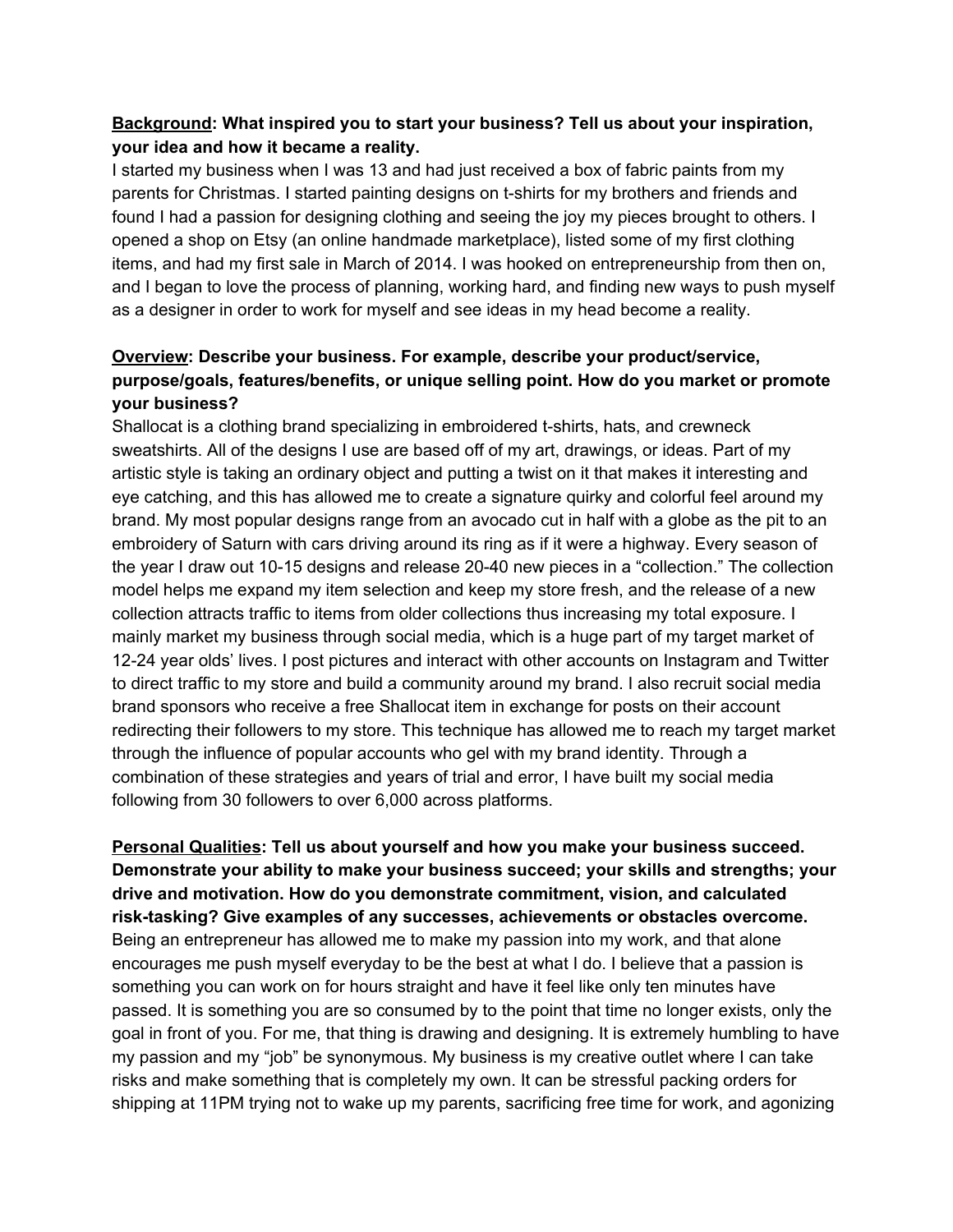## **Background: What inspired you to start your business? Tell us about your inspiration, your idea and how it became a reality.**

I started my business when I was 13 and had just received a box of fabric paints from my parents for Christmas. I started painting designs on t-shirts for my brothers and friends and found I had a passion for designing clothing and seeing the joy my pieces brought to others. I opened a shop on Etsy (an online handmade marketplace), listed some of my first clothing items, and had my first sale in March of 2014. I was hooked on entrepreneurship from then on, and I began to love the process of planning, working hard, and finding new ways to push myself as a designer in order to work for myself and see ideas in my head become a reality.

## **Overview: Describe your business. For example, describe your product/service, purpose/goals, features/benefits, or unique selling point. How do you market or promote your business?**

Shallocat is a clothing brand specializing in embroidered t-shirts, hats, and crewneck sweatshirts. All of the designs I use are based off of my art, drawings, or ideas. Part of my artistic style is taking an ordinary object and putting a twist on it that makes it interesting and eye catching, and this has allowed me to create a signature quirky and colorful feel around my brand. My most popular designs range from an avocado cut in half with a globe as the pit to an embroidery of Saturn with cars driving around its ring as if it were a highway. Every season of the year I draw out 10-15 designs and release 20-40 new pieces in a "collection." The collection model helps me expand my item selection and keep my store fresh, and the release of a new collection attracts traffic to items from older collections thus increasing my total exposure. I mainly market my business through social media, which is a huge part of my target market of 12-24 year olds' lives. I post pictures and interact with other accounts on Instagram and Twitter to direct traffic to my store and build a community around my brand. I also recruit social media brand sponsors who receive a free Shallocat item in exchange for posts on their account redirecting their followers to my store. This technique has allowed me to reach my target market through the influence of popular accounts who gel with my brand identity. Through a combination of these strategies and years of trial and error, I have built my social media following from 30 followers to over 6,000 across platforms.

**Personal Qualities: Tell us about yourself and how you make your business succeed. Demonstrate your ability to make your business succeed; your skills and strengths; your drive and motivation. How do you demonstrate commitment, vision, and calculated risk-tasking? Give examples of any successes, achievements or obstacles overcome.** Being an entrepreneur has allowed me to make my passion into my work, and that alone encourages me push myself everyday to be the best at what I do. I believe that a passion is something you can work on for hours straight and have it feel like only ten minutes have passed. It is something you are so consumed by to the point that time no longer exists, only the goal in front of you. For me, that thing is drawing and designing. It is extremely humbling to have my passion and my "job" be synonymous. My business is my creative outlet where I can take risks and make something that is completely my own. It can be stressful packing orders for shipping at 11PM trying not to wake up my parents, sacrificing free time for work, and agonizing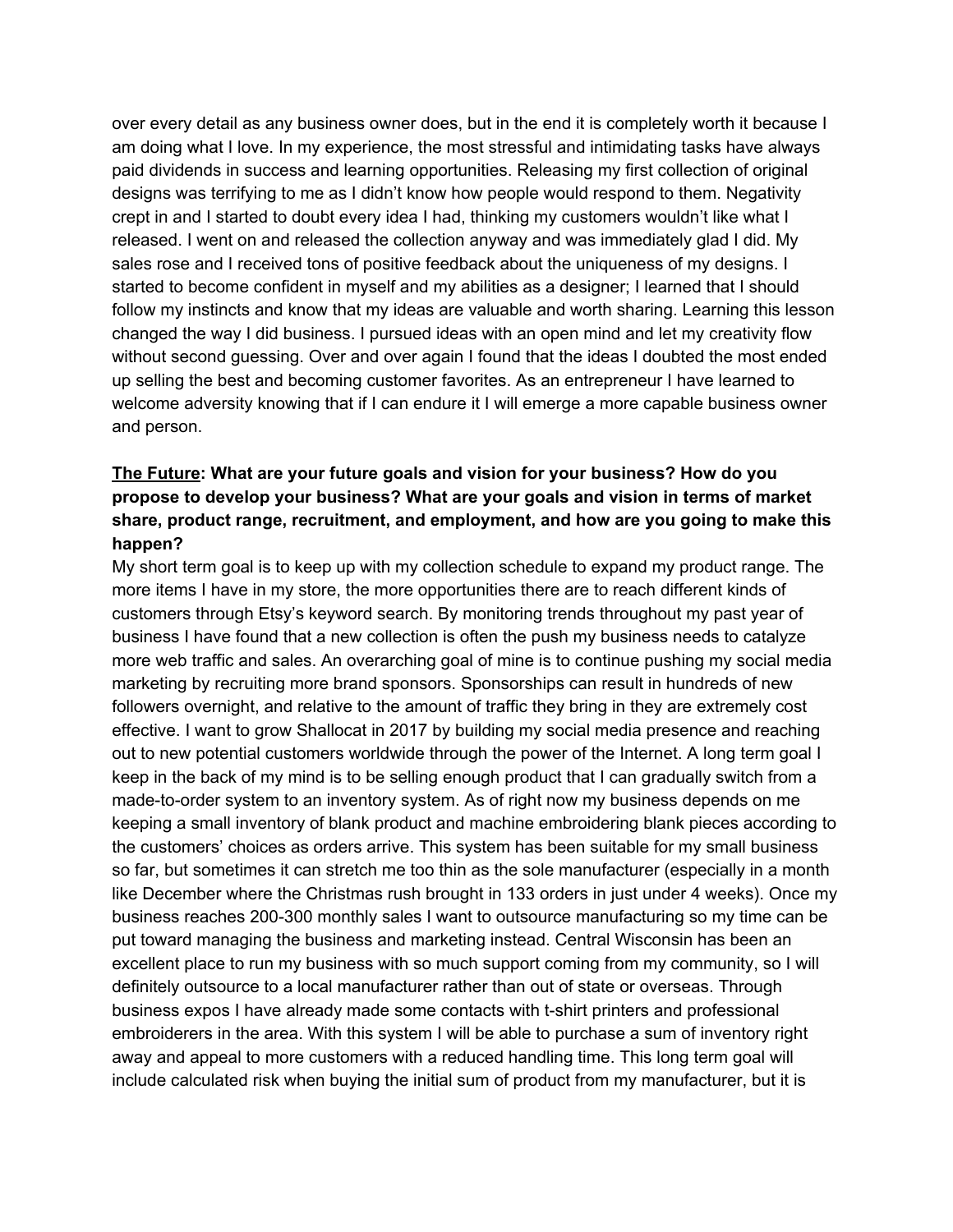over every detail as any business owner does, but in the end it is completely worth it because I am doing what I love. In my experience, the most stressful and intimidating tasks have always paid dividends in success and learning opportunities. Releasing my first collection of original designs was terrifying to me as I didn't know how people would respond to them. Negativity crept in and I started to doubt every idea I had, thinking my customers wouldn't like what I released. I went on and released the collection anyway and was immediately glad I did. My sales rose and I received tons of positive feedback about the uniqueness of my designs. I started to become confident in myself and my abilities as a designer; I learned that I should follow my instincts and know that my ideas are valuable and worth sharing. Learning this lesson changed the way I did business. I pursued ideas with an open mind and let my creativity flow without second guessing. Over and over again I found that the ideas I doubted the most ended up selling the best and becoming customer favorites. As an entrepreneur I have learned to welcome adversity knowing that if I can endure it I will emerge a more capable business owner and person.

## **The Future: What are your future goals and vision for your business? How do you propose to develop your business? What are your goals and vision in terms of market share, product range, recruitment, and employment, and how are you going to make this happen?**

My short term goal is to keep up with my collection schedule to expand my product range. The more items I have in my store, the more opportunities there are to reach different kinds of customers through Etsy's keyword search. By monitoring trends throughout my past year of business I have found that a new collection is often the push my business needs to catalyze more web traffic and sales. An overarching goal of mine is to continue pushing my social media marketing by recruiting more brand sponsors. Sponsorships can result in hundreds of new followers overnight, and relative to the amount of traffic they bring in they are extremely cost effective. I want to grow Shallocat in 2017 by building my social media presence and reaching out to new potential customers worldwide through the power of the Internet. A long term goal I keep in the back of my mind is to be selling enough product that I can gradually switch from a made-to-order system to an inventory system. As of right now my business depends on me keeping a small inventory of blank product and machine embroidering blank pieces according to the customers' choices as orders arrive. This system has been suitable for my small business so far, but sometimes it can stretch me too thin as the sole manufacturer (especially in a month like December where the Christmas rush brought in 133 orders in just under 4 weeks). Once my business reaches 200-300 monthly sales I want to outsource manufacturing so my time can be put toward managing the business and marketing instead. Central Wisconsin has been an excellent place to run my business with so much support coming from my community, so I will definitely outsource to a local manufacturer rather than out of state or overseas. Through business expos I have already made some contacts with t-shirt printers and professional embroiderers in the area. With this system I will be able to purchase a sum of inventory right away and appeal to more customers with a reduced handling time. This long term goal will include calculated risk when buying the initial sum of product from my manufacturer, but it is